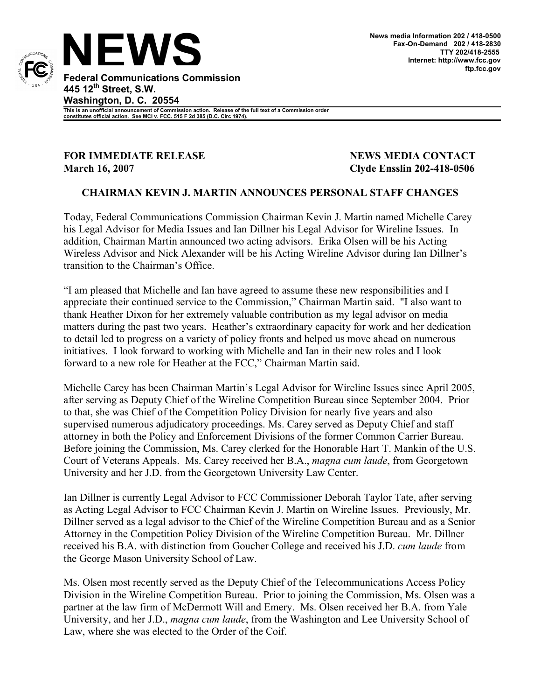

**This is an unofficial announcement of Commission action. Release of the full text of a Commission order constitutes official action. See MCI v. FCC. 515 F 2d 385 (D.C. Circ 1974).**

**FOR IMMEDIATE RELEASE NEWS MEDIA CONTACT March 16, 2007 Clyde Ensslin 202-418-0506**

## **CHAIRMAN KEVIN J. MARTIN ANNOUNCES PERSONAL STAFF CHANGES**

Today, Federal Communications Commission Chairman Kevin J. Martin named Michelle Carey his Legal Advisor for Media Issues and Ian Dillner his Legal Advisor for Wireline Issues. In addition, Chairman Martin announced two acting advisors. Erika Olsen will be his Acting Wireless Advisor and Nick Alexander will be his Acting Wireline Advisor during Ian Dillner's transition to the Chairman's Office.

"I am pleased that Michelle and Ian have agreed to assume these new responsibilities and I appreciate their continued service to the Commission," Chairman Martin said. "I also want to thank Heather Dixon for her extremely valuable contribution as my legal advisor on media matters during the past two years. Heather's extraordinary capacity for work and her dedication to detail led to progress on a variety of policy fronts and helped us move ahead on numerous initiatives. I look forward to working with Michelle and Ian in their new roles and I look forward to a new role for Heather at the FCC," Chairman Martin said.

Michelle Carey has been Chairman Martin's Legal Advisor for Wireline Issues since April 2005, after serving as Deputy Chief of the Wireline Competition Bureau since September 2004. Prior to that, she was Chief of the Competition Policy Division for nearly five years and also supervised numerous adjudicatory proceedings. Ms. Carey served as Deputy Chief and staff attorney in both the Policy and Enforcement Divisions of the former Common Carrier Bureau. Before joining the Commission, Ms. Carey clerked for the Honorable Hart T. Mankin of the U.S. Court of Veterans Appeals. Ms. Carey received her B.A., *magna cum laude*, from Georgetown University and her J.D. from the Georgetown University Law Center.

Ian Dillner is currently Legal Advisor to FCC Commissioner Deborah Taylor Tate, after serving as Acting Legal Advisor to FCC Chairman Kevin J. Martin on Wireline Issues. Previously, Mr. Dillner served as a legal advisor to the Chief of the Wireline Competition Bureau and as a Senior Attorney in the Competition Policy Division of the Wireline Competition Bureau. Mr. Dillner received his B.A. with distinction from Goucher College and received his J.D. *cum laude* from the George Mason University School of Law.

Ms. Olsen most recently served as the Deputy Chief of the Telecommunications Access Policy Division in the Wireline Competition Bureau. Prior to joining the Commission, Ms. Olsen was a partner at the law firm of McDermott Will and Emery. Ms. Olsen received her B.A. from Yale University, and her J.D., *magna cum laude*, from the Washington and Lee University School of Law, where she was elected to the Order of the Coif.